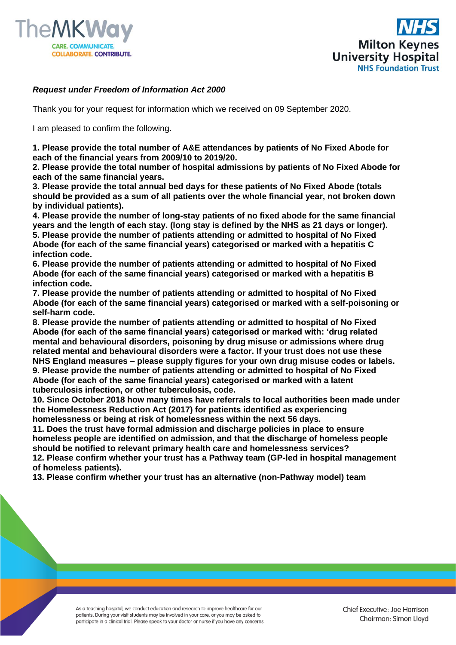



## *Request under Freedom of Information Act 2000*

Thank you for your request for information which we received on 09 September 2020.

I am pleased to confirm the following.

**1. Please provide the total number of A&E attendances by patients of No Fixed Abode for each of the financial years from 2009/10 to 2019/20.** 

**2. Please provide the total number of hospital admissions by patients of No Fixed Abode for each of the same financial years.** 

**3. Please provide the total annual bed days for these patients of No Fixed Abode (totals should be provided as a sum of all patients over the whole financial year, not broken down by individual patients).**

**4. Please provide the number of long-stay patients of no fixed abode for the same financial years and the length of each stay. (long stay is defined by the NHS as 21 days or longer). 5. Please provide the number of patients attending or admitted to hospital of No Fixed Abode (for each of the same financial years) categorised or marked with a hepatitis C infection code.**

**6. Please provide the number of patients attending or admitted to hospital of No Fixed Abode (for each of the same financial years) categorised or marked with a hepatitis B infection code.** 

**7. Please provide the number of patients attending or admitted to hospital of No Fixed Abode (for each of the same financial years) categorised or marked with a self-poisoning or self-harm code.**

**8. Please provide the number of patients attending or admitted to hospital of No Fixed Abode (for each of the same financial years) categorised or marked with: 'drug related mental and behavioural disorders, poisoning by drug misuse or admissions where drug related mental and behavioural disorders were a factor. If your trust does not use these NHS England measures – please supply figures for your own drug misuse codes or labels. 9. Please provide the number of patients attending or admitted to hospital of No Fixed Abode (for each of the same financial years) categorised or marked with a latent tuberculosis infection, or other tuberculosis, code.**

**10. Since October 2018 how many times have referrals to local authorities been made under the Homelessness Reduction Act (2017) for patients identified as experiencing homelessness or being at risk of homelessness within the next 56 days.** 

**11. Does the trust have formal admission and discharge policies in place to ensure homeless people are identified on admission, and that the discharge of homeless people should be notified to relevant primary health care and homelessness services? 12. Please confirm whether your trust has a Pathway team (GP-led in hospital management** 

**of homeless patients).**

**13. Please confirm whether your trust has an alternative (non-Pathway model) team** 

As a teaching hospital, we conduct education and research to improve healthcare for our patients. During your visit students may be involved in your care, or you may be asked to participate in a clinical trial. Please speak to your doctor or nurse if you have any concerns.